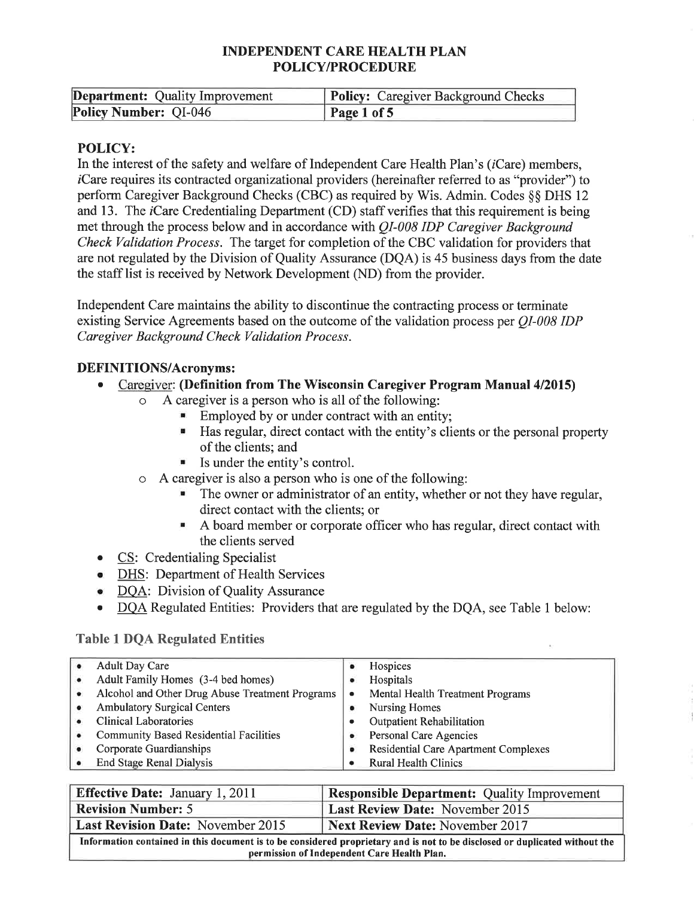| <b>Department:</b> Quality Improvement | <b>Policy:</b> Caregiver Background Checks |
|----------------------------------------|--------------------------------------------|
| Policy Number: QI-046                  | Page 1 of 5                                |

#### **POLICY:**

In the interest of the safety and welfare of Independent Care Health Plan's *(iCare)* members, *i*Care requires its contracted organizational providers (hereinafter referred to as "provider") to perform Caregiver Background Checks (CBC) as required by Wis. Admin. Codes 88 DHS 12 and 13. The *i*Care Credentialing Department (CD) staff verifies that this requirement is being met through the process below and in accordance with *QI-008 IDP Caregiver Background* Check Validation Process. The target for completion of the CBC validation for providers that are not regulated by the Division of Quality Assurance (DQA) is 45 business days from the date the staff list is received by Network Development (ND) from the provider.

Independent Care maintains the ability to discontinue the contracting process or terminate existing Service Agreements based on the outcome of the validation process per OI-008 IDP Caregiver Background Check Validation Process.

#### **DEFINITIONS/Acronyms:**

#### Caregiver: (Definition from The Wisconsin Caregiver Program Manual 4/2015)  $\blacksquare$

- $\circ$ A caregiver is a person who is all of the following:
	- Employed by or under contract with an entity;
	- Has regular, direct contact with the entity's clients or the personal property of the clients: and
	- $\blacksquare$  Is under the entity's control.
- A caregiver is also a person who is one of the following:
	- The owner or administrator of an entity, whether or not they have regular, direct contact with the clients; or
	- A board member or corporate officer who has regular, direct contact with ж. the clients served
- CS: Credentialing Specialist  $\bullet$
- **DHS:** Department of Health Services
- DQA: Division of Quality Assurance
- DQA Regulated Entities: Providers that are regulated by the DOA, see Table 1 below:

#### **Table 1 DOA Regulated Entities**

|           | <b>Adult Day Care</b>                           | ٠         | Hospices                                    |
|-----------|-------------------------------------------------|-----------|---------------------------------------------|
| ٠         | Adult Family Homes (3-4 bed homes)              | ۰         | Hospitals                                   |
| $\bullet$ | Alcohol and Other Drug Abuse Treatment Programs | $\bullet$ | Mental Health Treatment Programs            |
|           | <b>Ambulatory Surgical Centers</b>              |           | <b>Nursing Homes</b>                        |
|           | <b>Clinical Laboratories</b>                    |           | <b>Outpatient Rehabilitation</b>            |
|           | <b>Community Based Residential Facilities</b>   | ۰         | Personal Care Agencies                      |
|           | Corporate Guardianships                         |           | <b>Residential Care Apartment Complexes</b> |
|           | <b>End Stage Renal Dialysis</b>                 |           | <b>Rural Health Clinics</b>                 |

| <b>Effective Date:</b> January 1, 2011                                                                                                                                     | <b>Responsible Department:</b> Quality Improvement |  |
|----------------------------------------------------------------------------------------------------------------------------------------------------------------------------|----------------------------------------------------|--|
| <b>Revision Number: 5</b>                                                                                                                                                  | <b>Last Review Date: November 2015</b>             |  |
| <b>Last Revision Date: November 2015</b><br><b>Next Review Date: November 2017</b>                                                                                         |                                                    |  |
| Information contained in this document is to be considered proprietary and is not to be disclosed or duplicated without the<br>permission of Independent Care Health Plan. |                                                    |  |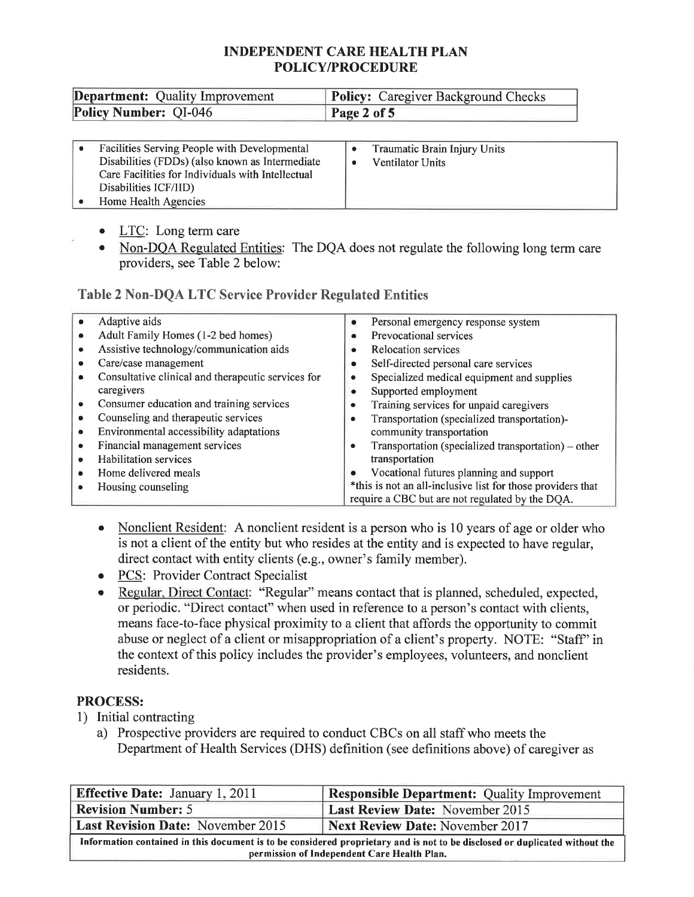| <b>Department:</b> Quality Improvement | <b>Policy:</b> Caregiver Background Checks |
|----------------------------------------|--------------------------------------------|
| <b>Policy Number: QI-046</b>           | Page 2 of 5                                |

|  | <b>Facilities Serving People with Developmental</b><br>Disabilities (FDDs) (also known as Intermediate<br>Care Facilities for Individuals with Intellectual<br>Disabilities ICF/IID)<br>Home Health Agencies |  | Traumatic Brain Injury Units<br>Ventilator Units |  |
|--|--------------------------------------------------------------------------------------------------------------------------------------------------------------------------------------------------------------|--|--------------------------------------------------|--|
|--|--------------------------------------------------------------------------------------------------------------------------------------------------------------------------------------------------------------|--|--------------------------------------------------|--|

- LTC: Long term care
- . Non-DQA Regulated Entities: The DQA does not regulate the following long term care providers, see Table 2 below:

## Table 2 Non-DQA LTC Service Provider Regulated Entities

|   | Adaptive aids                                      |                                                             |
|---|----------------------------------------------------|-------------------------------------------------------------|
|   |                                                    | Personal emergency response system<br>۰                     |
|   | Adult Family Homes (1-2 bed homes)                 | Prevocational services                                      |
|   | Assistive technology/communication aids            | <b>Relocation services</b>                                  |
|   | Care/case management                               | Self-directed personal care services                        |
|   | Consultative clinical and therapeutic services for | Specialized medical equipment and supplies                  |
|   | caregivers                                         | Supported employment                                        |
| ۰ | Consumer education and training services           | Training services for unpaid caregivers                     |
| ٠ | Counseling and therapeutic services                | Transportation (specialized transportation)-                |
| ۰ | Environmental accessibility adaptations            | community transportation                                    |
| ٠ | Financial management services                      | Transportation (specialized transportation) – other         |
| ٠ | <b>Habilitation</b> services                       | transportation                                              |
| ٠ | Home delivered meals                               | Vocational futures planning and support                     |
| ۰ | Housing counseling                                 | *this is not an all-inclusive list for those providers that |
|   |                                                    | require a CBC but are not regulated by the DQA.             |

- Nonclient Resident: A nonclient resident is a person who is 10 years of age or older who is not a client of the entity but who resides at the entity and is expected to have regular, direct contact with entity clients (e.g., owner's family member).
- PCS: Provider Contract Specialist
- o Regular. Direct Contact: "Regular" means contact that is planned, scheduled, expected, or periodic. "Direct contact" when used in reference to a person's contact with clients, means face-to-face physical proximity to a client that affords the opportunity to commit abuse or neglect of a client or misappropriation of a client's property. NOTE: "Staff" in the context of this policy includes the provider's employees, volunteers, and nonclient residents.

## PROCESS:

- 1) Initial contracting
	- a) Prospective providers are required to conduct CBCs on all staff who meets the Department of Health Services (DHS) definition (see definitions above) of caregiver as

| <b>Effective Date:</b> January 1, 2011                                                                                      | <b>Responsible Department:</b> Quality Improvement |  |
|-----------------------------------------------------------------------------------------------------------------------------|----------------------------------------------------|--|
| <b>Revision Number: 5</b>                                                                                                   | <b>Last Review Date: November 2015</b>             |  |
| <b>Last Revision Date:</b> November 2015<br>Next Review Date: November 2017                                                 |                                                    |  |
| Information contained in this document is to be considered proprietary and is not to be disclosed or duplicated without the |                                                    |  |
| permission of Independent Care Health Plan.                                                                                 |                                                    |  |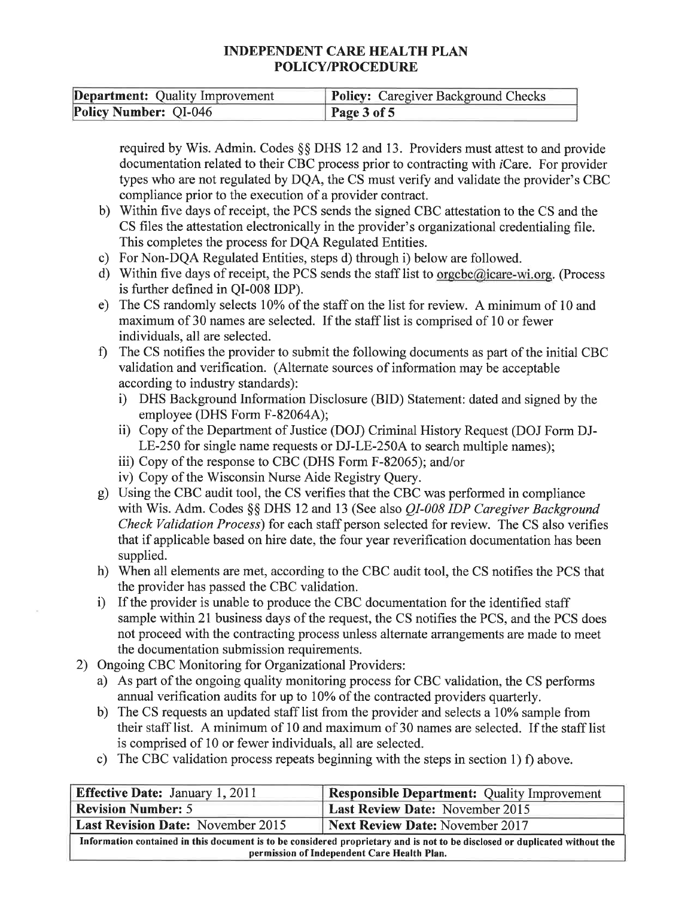| <b>Department:</b> Quality Improvement | <b>Policy:</b> Caregiver Background Checks |
|----------------------------------------|--------------------------------------------|
| <b>Policy Number: QI-046</b>           | Page 3 of 5                                |

required by Wis. Admin. Codes §§ DHS 12 and 13. Providers must attest to and provide documentation related to their CBC process prior to contracting with *iCare*. For provider types who are not regulated by DQA, the CS must verify and validate the provider's CBC compliance prior to the execution of a provider contract.

- b) Within five days of receipt, the PCS sends the signed CBC attestation to the CS and the CS files the attestation electronically in the provider's organizational credentialing file. This completes the process for DQA Regulated Entities.
- c) For Non-DQA Regulated Entities, steps d) through i) below are followed.
- d) Within five days of receipt, the PCS sends the staff list to orgcbc@icare-wi.org. (Process is further defined in QI-008 IDP).
- e) The CS randomly selects 10% of the staff on the list for review. A minimum of 10 and maximum of 30 names are selected. If the staff list is comprised of l0 or fewer individuals, all are selected.
- f) The CS notifies the provider to submit the following documents as part of the initial CBC validation and verification. (Alternate sources of information may be acceptable according to industry standards):
	- i) DHS Background Information Disclosure (BID) Statement: dated and signed by the employee (DHS Form F-82064A);
	- ii) Copy of the Department of Justice (DOJ) Criminal History Request (DOJ Form DJ-LE-250 for single name requests or DJ-LE-250A to search multiple names);
	- iii) Copy of the response to CBC (DHS Form F-82065); and/or
	-
- iv) Copy of the V/isconsin Nurse Aide Registry Query. g) Using the CBC audit tool, the CS verifies that the CBC was performed in compliance with Wis. Adm. Codes §§ DHS 12 and 13 (See also *QI-008 IDP Caregiver Background* Check Validation Process) for each staff person selected for review. The CS also verifies that if applicable based on hire date, the four year reverification documentation has been supplied.
- h) When all elements are met, according to the CBC audit tool, the CS notifies the PCS that the provider has passed the CBC validation.
- i) If the provider is unable to produce the CBC documentation for the identified staff sample within 21 business days of the request, the CS notifies the PCS, and the PCS does not proceed with the contracting process unless alternate arrangements are made to meet the documentation submission requirements.
- 2) Ongoing CBC Monitoring for Organizational Providers:
	- a) As part of the ongoing quality monitoring process for CBC validation, the CS performs annual verification audits for up to 10% of the contracted providers quarterly.
	- b) The CS requests an updated staff list from the provider and selects a 10% sample from their staff list. A minimum of 10 and maximum of 30 names are selected. If the staff list is comprised of 10 or fewer individuals, all are selected.
	- c) The CBC validation process repeats beginning with the steps in section 1) f) above.

| <b>Effective Date: January 1, 2011</b>                                                                                                                                     | <b>Responsible Department:</b> Quality Improvement |  |
|----------------------------------------------------------------------------------------------------------------------------------------------------------------------------|----------------------------------------------------|--|
| <b>Revision Number: 5</b><br><b>Last Review Date: November 2015</b>                                                                                                        |                                                    |  |
| <b>Last Revision Date:</b> November 2015<br><b>Next Review Date: November 2017</b>                                                                                         |                                                    |  |
| Information contained in this document is to be considered proprietary and is not to be disclosed or duplicated without the<br>permission of Independent Care Health Plan. |                                                    |  |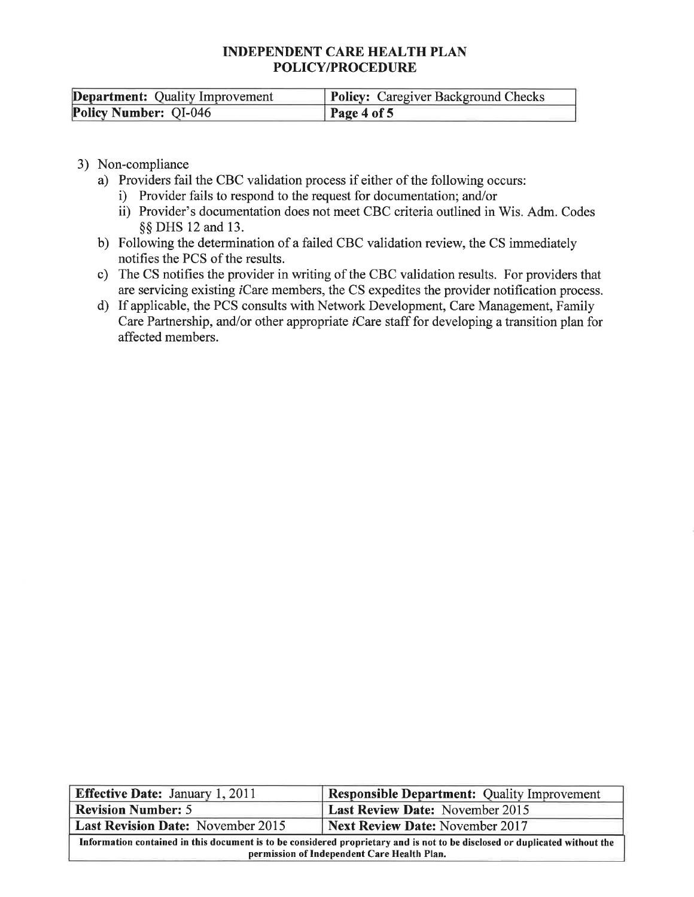| <b>Department:</b> Quality Improvement | <b>Policy:</b> Caregiver Background Checks |
|----------------------------------------|--------------------------------------------|
| <b>Policy Number: QI-046</b>           | Page 4 of 5                                |

- 3) Non-compliance
	- a) Providers fail the CBC validation process if either of the following occurs:
		- i) Provider fails to respond to the request for documentation; and/or
		- ii) Provider's documentation does not meet CBC criteria outlined in Wis. Adm. Codes \$\$ DHS 12 and 13.
	- b) Following the determination of a failed CBC validation review, the CS immediately notifies the PCS of the results.
	- c) The CS notifies the provider in writing of the CBC validation results. For providers that are servicing existing iCare members, the CS expedites the provider notification process.
	- d) If applicable, the PCS consults with Network Development, Care Management, Family Care Partnership, and/or other appropriate *i*Care staff for developing a transition plan for affected members.

| <b>Effective Date:</b> January 1, 2011                                                                                                                                     | <b>Responsible Department:</b> Quality Improvement |  |
|----------------------------------------------------------------------------------------------------------------------------------------------------------------------------|----------------------------------------------------|--|
| <b>Revision Number: 5</b>                                                                                                                                                  | <b>Last Review Date: November 2015</b>             |  |
| <b>Next Review Date: November 2017</b><br><b>Last Revision Date:</b> November 2015                                                                                         |                                                    |  |
| Information contained in this document is to be considered proprietary and is not to be disclosed or duplicated without the<br>permission of Independent Care Health Plan. |                                                    |  |